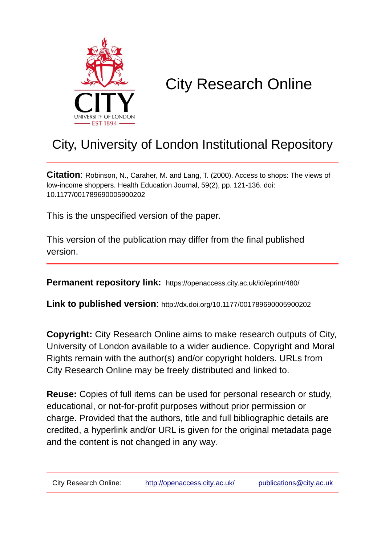

# City Research Online

## City, University of London Institutional Repository

**Citation**: Robinson, N., Caraher, M. and Lang, T. (2000). Access to shops: The views of low-income shoppers. Health Education Journal, 59(2), pp. 121-136. doi: 10.1177/001789690005900202

This is the unspecified version of the paper.

This version of the publication may differ from the final published version.

**Permanent repository link:** https://openaccess.city.ac.uk/id/eprint/480/

**Link to published version**: http://dx.doi.org/10.1177/001789690005900202

**Copyright:** City Research Online aims to make research outputs of City, University of London available to a wider audience. Copyright and Moral Rights remain with the author(s) and/or copyright holders. URLs from City Research Online may be freely distributed and linked to.

**Reuse:** Copies of full items can be used for personal research or study, educational, or not-for-profit purposes without prior permission or charge. Provided that the authors, title and full bibliographic details are credited, a hyperlink and/or URL is given for the original metadata page and the content is not changed in any way.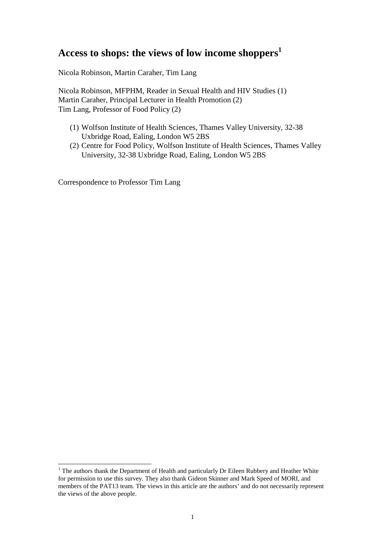## **Access to shops: the views of low income shoppers<sup>1</sup>**

Nicola Robinson, Martin Caraher, Tim Lang

Nicola Robinson, MFPHM, Reader in Sexual Health and HIV Studies (1) Martin Caraher, Principal Lecturer in Health Promotion (2) Tim Lang, Professor of Food Policy (2)

- (1) Wolfson Institute of Health Sciences, Thames Valley University, 32-38 Uxbridge Road, Ealing, London W5 2BS
- (2) Centre for Food Policy, Wolfson Institute of Health Sciences, Thames Valley University, 32-38 Uxbridge Road, Ealing, London W5 2BS

Correspondence to Professor Tim Lang

 $\overline{a}$ 

<sup>&</sup>lt;sup>1</sup> The authors thank the Department of Health and particularly Dr Eileen Rubbery and Heather White for permission to use this survey. They also thank Gideon Skinner and Mark Speed of MORI, and members of the PAT13 team. The views in this article are the authors' and do not necessarily represent the views of the above people.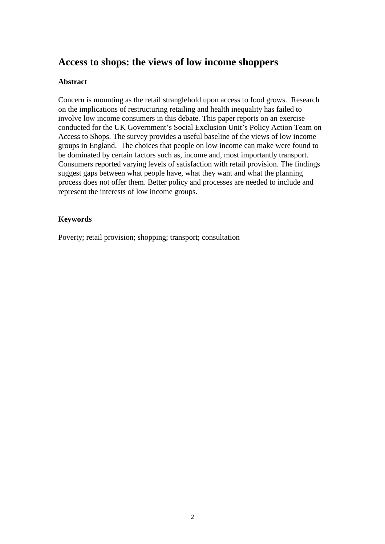## **Access to shops: the views of low income shoppers**

#### **Abstract**

Concern is mounting as the retail stranglehold upon access to food grows. Research on the implications of restructuring retailing and health inequality has failed to involve low income consumers in this debate. This paper reports on an exercise conducted for the UK Government's Social Exclusion Unit's Policy Action Team on Access to Shops. The survey provides a useful baseline of the views of low income groups in England. The choices that people on low income can make were found to be dominated by certain factors such as, income and, most importantly transport. Consumers reported varying levels of satisfaction with retail provision. The findings suggest gaps between what people have, what they want and what the planning process does not offer them. Better policy and processes are needed to include and represent the interests of low income groups.

#### **Keywords**

Poverty; retail provision; shopping; transport; consultation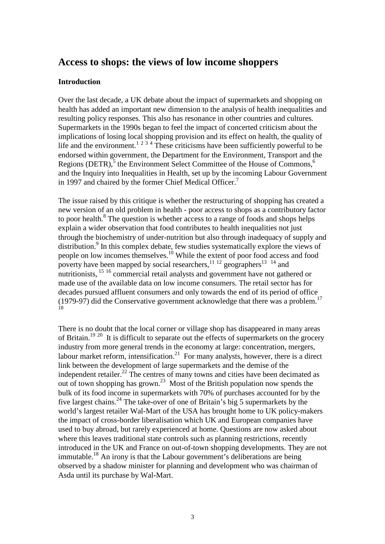## **Access to shops: the views of low income shoppers**

#### **Introduction**

Over the last decade, a UK debate about the impact of supermarkets and shopping on health has added an important new dimension to the analysis of health inequalities and resulting policy responses. This also has resonance in other countries and cultures. Supermarkets in the 1990s began to feel the impact of concerted criticism about the implications of losing local shopping provision and its effect on health, the quality of life and the environment.<sup>1 2 3 4</sup> These criticisms have been sufficiently powerful to be endorsed within government, the Department for the Environment, Transport and the Regions (DETR), $5$  the Environment Select Committee of the House of Commons,  $6$ and the Inquiry into Inequalities in Health, set up by the incoming Labour Government in 1997 and chaired by the former Chief Medical Officer.<sup>7</sup>

The issue raised by this critique is whether the restructuring of shopping has created a new version of an old problem in health - poor access to shops as a contributory factor to poor health.<sup>8</sup> The question is whether access to a range of foods and shops helps explain a wider observation that food contributes to health inequalities not just through the biochemistry of under-nutrition but also through inadequacy of supply and distribution.<sup>9</sup> In this complex debate, few studies systematically explore the views of people on low incomes themselves.<sup>10</sup> While the extent of poor food access and food poverty have been mapped by social researchers,  $11^{12}$  geographers  $13^{14}$  and nutritionists,<sup>15</sup> <sup>16</sup> commercial retail analysts and government have not gathered or made use of the available data on low income consumers. The retail sector has for decades pursued affluent consumers and only towards the end of its period of office (1979-97) did the Conservative government acknowledge that there was a problem.<sup>17</sup> 18

There is no doubt that the local corner or village shop has disappeared in many areas of Britain.<sup>19 20</sup> It is difficult to separate out the effects of supermarkets on the grocery industry from more general trends in the economy at large: concentration, mergers, labour market reform, intensification.<sup>21</sup> For many analysts, however, there is a direct link between the development of large supermarkets and the demise of the independent retailer.<sup>22</sup> The centres of many towns and cities have been decimated as out of town shopping has grown.<sup>23</sup> Most of the British population now spends the bulk of its food income in supermarkets with 70% of purchases accounted for by the five largest chains.<sup>24</sup> The take-over of one of Britain's big 5 supermarkets by the world's largest retailer Wal-Mart of the USA has brought home to UK policy-makers the impact of cross-border liberalisation which UK and European companies have used to buy abroad, but rarely experienced at home. Questions are now asked about where this leaves traditional state controls such as planning restrictions, recently introduced in the UK and France on out-of-town shopping developments. They are not immutable.<sup>18</sup> An irony is that the Labour government's deliberations are being observed by a shadow minister for planning and development who was chairman of Asda until its purchase by Wal-Mart.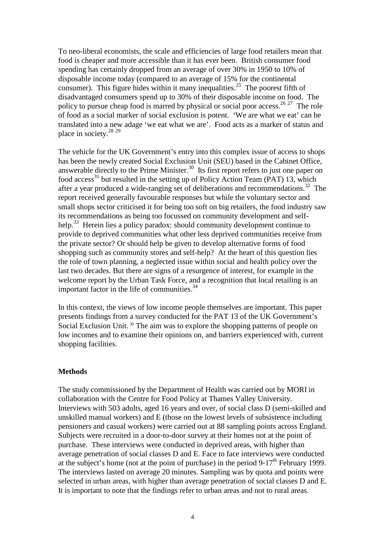To neo-liberal economists, the scale and efficiencies of large food retailers mean that food is cheaper and more accessible than it has ever been. British consumer food spending has certainly dropped from an average of over 30% in 1950 to 10% of disposable income today (compared to an average of 15% for the continental consumer). This figure hides within it many inequalities.<sup>25</sup> The poorest fifth of disadvantaged consumers spend up to 30% of their disposable income on food. The policy to pursue cheap food is marred by physical or social poor access.<sup>26 27</sup> The role of food as a social marker of social exclusion is potent. 'We are what we eat' can be translated into a new adage 'we eat what we are'. Food acts as a marker of status and place in society.<sup>28 29</sup>

The vehicle for the UK Government's entry into this complex issue of access to shops has been the newly created Social Exclusion Unit (SEU) based in the Cabinet Office, answerable directly to the Prime Minister.<sup>30</sup> Its first report refers to just one paper on food access<sup>31</sup> but resulted in the setting up of Policy Action Team (PAT) 13, which after a year produced a wide-ranging set of deliberations and recommendations.<sup>32</sup> The report received generally favourable responses but while the voluntary sector and small shops sector criticised it for being too soft on big retailers, the food industry saw its recommendations as being too focussed on community development and selfhelp.<sup>33</sup> Herein lies a policy paradox: should community development continue to provide to deprived communities what other less deprived communities receive from the private sector? Or should help be given to develop alternative forms of food shopping such as community stores and self-help? At the heart of this question lies the role of town planning, a neglected issue within social and health policy over the last two decades. But there are signs of a resurgence of interest, for example in the welcome report by the Urban Task Force, and a recognition that local retailing is an important factor in the life of communities. $34$ 

In this context, the views of low income people themselves are important. This paper presents findings from a survey conducted for the PAT 13 of the UK Government's Social Exclusion Unit.<sup>30</sup> The aim was to explore the shopping patterns of people on low incomes and to examine their opinions on, and barriers experienced with, current shopping facilities.

#### **Methods**

The study commissioned by the Department of Health was carried out by MORI in collaboration with the Centre for Food Policy at Thames Valley University. Interviews with 503 adults, aged 16 years and over, of social class D (semi-skilled and unskilled manual workers) and E (those on the lowest levels of subsistence including pensioners and casual workers) were carried out at 88 sampling points across England. Subjects were recruited in a door-to-door survey at their homes not at the point of purchase. These interviews were conducted in deprived areas, with higher than average penetration of social classes D and E. Face to face interviews were conducted at the subject's home (not at the point of purchase) in the period  $9-17<sup>th</sup>$  February 1999. The interviews lasted on average 20 minutes. Sampling was by quota and points were selected in urban areas, with higher than average penetration of social classes D and E*.*  It is important to note that the findings refer to urban areas and not to rural areas.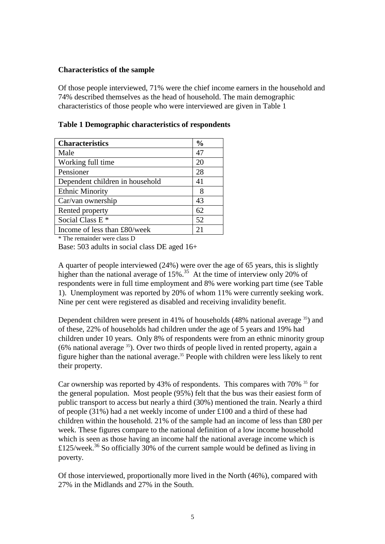#### **Characteristics of the sample**

Of those people interviewed, 71% were the chief income earners in the household and 74% described themselves as the head of household. The main demographic characteristics of those people who were interviewed are given in Table 1

| <b>Characteristics</b>          | $\frac{6}{9}$ |
|---------------------------------|---------------|
| Male                            | 47            |
| Working full time               | 20            |
| Pensioner                       | 28            |
| Dependent children in household | 41            |
| <b>Ethnic Minority</b>          | 8             |
| Car/van ownership               | 43            |
| Rented property                 | 62            |
| Social Class E <sup>*</sup>     | 52            |
| Income of less than £80/week    | 2.            |

| Table 1 Demographic characteristics of respondents |
|----------------------------------------------------|
|----------------------------------------------------|

\* The remainder were class D

Base: 503 adults in social class DE aged 16+

A quarter of people interviewed (24%) were over the age of 65 years, this is slightly higher than the national average of  $15\%$ .<sup>35</sup> At the time of interview only 20% of respondents were in full time employment and 8% were working part time (see Table 1). Unemployment was reported by 20% of whom 11% were currently seeking work. Nine per cent were registered as disabled and receiving invalidity benefit.

Dependent children were present in 41% of households (48% national average <sup>35</sup>) and of these, 22% of households had children under the age of 5 years and 19% had children under 10 years. Only 8% of respondents were from an ethnic minority group  $(6\%$  national average  $35$ ). Over two thirds of people lived in rented property, again a figure higher than the national average.<sup>35</sup> People with children were less likely to rent their property.

Car ownership was reported by 43% of respondents. This compares with 70% <sup>35</sup> for the general population. Most people (95%) felt that the bus was their easiest form of public transport to access but nearly a third (30%) mentioned the train. Nearly a third of people (31%) had a net weekly income of under £100 and a third of these had children within the household. 21% of the sample had an income of less than £80 per week. These figures compare to the national definition of a low income household which is seen as those having an income half the national average income which is £125/week.<sup>36</sup> So officially 30% of the current sample would be defined as living in poverty.

Of those interviewed, proportionally more lived in the North (46%), compared with 27% in the Midlands and 27% in the South.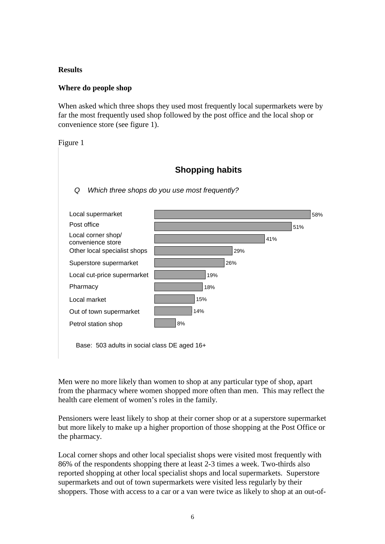#### **Results**

#### **Where do people shop**

When asked which three shops they used most frequently local supermarkets were by far the most frequently used shop followed by the post office and the local shop or convenience store (see figure 1).

Figure 1

## **Shopping habits**

#### Q Which three shops do you use most frequently?



Base: 503 adults in social class DE aged 16+

Men were no more likely than women to shop at any particular type of shop, apart from the pharmacy where women shopped more often than men. This may reflect the health care element of women's roles in the family.

Pensioners were least likely to shop at their corner shop or at a superstore supermarket but more likely to make up a higher proportion of those shopping at the Post Office or the pharmacy.

Local corner shops and other local specialist shops were visited most frequently with 86% of the respondents shopping there at least 2-3 times a week. Two-thirds also reported shopping at other local specialist shops and local supermarkets. Superstore supermarkets and out of town supermarkets were visited less regularly by their shoppers. Those with access to a car or a van were twice as likely to shop at an out-of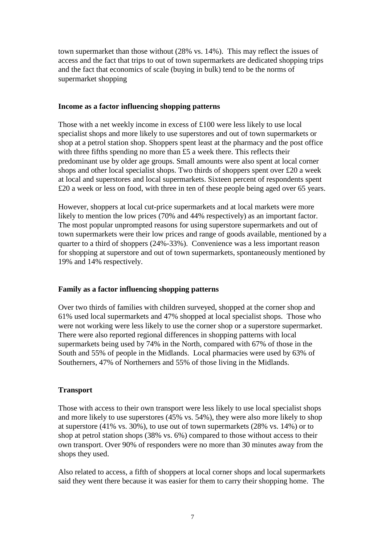town supermarket than those without (28% vs. 14%). This may reflect the issues of access and the fact that trips to out of town supermarkets are dedicated shopping trips and the fact that economics of scale (buying in bulk) tend to be the norms of supermarket shopping

#### **Income as a factor influencing shopping patterns**

Those with a net weekly income in excess of £100 were less likely to use local specialist shops and more likely to use superstores and out of town supermarkets or shop at a petrol station shop. Shoppers spent least at the pharmacy and the post office with three fifths spending no more than £5 a week there. This reflects their predominant use by older age groups. Small amounts were also spent at local corner shops and other local specialist shops. Two thirds of shoppers spent over £20 a week at local and superstores and local supermarkets. Sixteen percent of respondents spent £20 a week or less on food, with three in ten of these people being aged over 65 years.

However, shoppers at local cut-price supermarkets and at local markets were more likely to mention the low prices (70% and 44% respectively) as an important factor. The most popular unprompted reasons for using superstore supermarkets and out of town supermarkets were their low prices and range of goods available, mentioned by a quarter to a third of shoppers (24%-33%). Convenience was a less important reason for shopping at superstore and out of town supermarkets, spontaneously mentioned by 19% and 14% respectively.

#### **Family as a factor influencing shopping patterns**

Over two thirds of families with children surveyed, shopped at the corner shop and 61% used local supermarkets and 47% shopped at local specialist shops. Those who were not working were less likely to use the corner shop or a superstore supermarket. There were also reported regional differences in shopping patterns with local supermarkets being used by 74% in the North, compared with 67% of those in the South and 55% of people in the Midlands. Local pharmacies were used by 63% of Southerners, 47% of Northerners and 55% of those living in the Midlands.

#### **Transport**

Those with access to their own transport were less likely to use local specialist shops and more likely to use superstores (45% vs. 54%), they were also more likely to shop at superstore (41% vs. 30%), to use out of town supermarkets (28% vs. 14%) or to shop at petrol station shops (38% vs. 6%) compared to those without access to their own transport. Over 90% of responders were no more than 30 minutes away from the shops they used.

Also related to access, a fifth of shoppers at local corner shops and local supermarkets said they went there because it was easier for them to carry their shopping home. The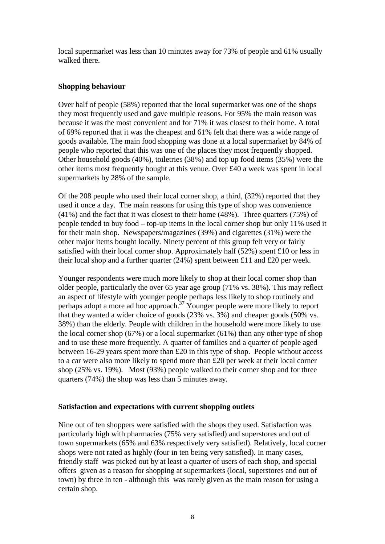local supermarket was less than 10 minutes away for 73% of people and 61% usually walked there.

#### **Shopping behaviour**

Over half of people (58%) reported that the local supermarket was one of the shops they most frequently used and gave multiple reasons. For 95% the main reason was because it was the most convenient and for 71% it was closest to their home. A total of 69% reported that it was the cheapest and 61% felt that there was a wide range of goods available. The main food shopping was done at a local supermarket by 84% of people who reported that this was one of the places they most frequently shopped. Other household goods (40%), toiletries (38%) and top up food items (35%) were the other items most frequently bought at this venue. Over £40 a week was spent in local supermarkets by 28% of the sample.

Of the 208 people who used their local corner shop, a third, (32%) reported that they used it once a day. The main reasons for using this type of shop was convenience (41%) and the fact that it was closest to their home (48%). Three quarters (75%) of people tended to buy food – top-up items in the local corner shop but only 11% used it for their main shop. Newspapers/magazines (39%) and cigarettes (31%) were the other major items bought locally. Ninety percent of this group felt very or fairly satisfied with their local corner shop. Approximately half (52%) spent £10 or less in their local shop and a further quarter (24%) spent between £11 and £20 per week.

Younger respondents were much more likely to shop at their local corner shop than older people, particularly the over 65 year age group (71% vs. 38%). This may reflect an aspect of lifestyle with younger people perhaps less likely to shop routinely and perhaps adopt a more ad hoc approach.<sup>37</sup> Younger people were more likely to report that they wanted a wider choice of goods (23% vs. 3%) and cheaper goods (50% vs. 38%) than the elderly. People with children in the household were more likely to use the local corner shop (67%) or a local supermarket (61%) than any other type of shop and to use these more frequently. A quarter of families and a quarter of people aged between 16-29 years spent more than £20 in this type of shop.People without access to a car were also more likely to spend more than £20 per week at their local corner shop (25% vs. 19%). Most (93%) people walked to their corner shop and for three quarters (74%) the shop was less than 5 minutes away.

#### **Satisfaction and expectations with current shopping outlets**

Nine out of ten shoppers were satisfied with the shops they used. Satisfaction was particularly high with pharmacies (75% very satisfied) and superstores and out of town supermarkets (65% and 63% respectively very satisfied). Relatively, local corner shops were not rated as highly (four in ten being very satisfied). In many cases, friendly staff was picked out by at least a quarter of users of each shop, and special offers given as a reason for shopping at supermarkets (local, superstores and out of town) by three in ten - although this was rarely given as the main reason for using a certain shop.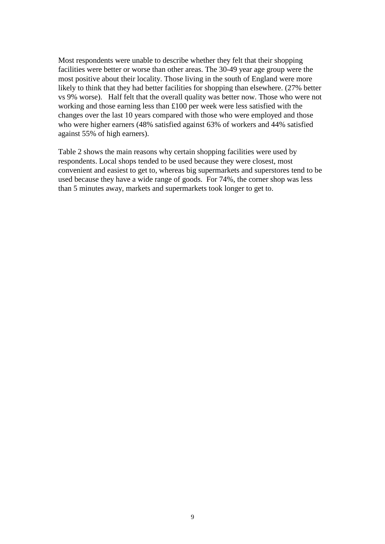Most respondents were unable to describe whether they felt that their shopping facilities were better or worse than other areas. The 30-49 year age group were the most positive about their locality. Those living in the south of England were more likely to think that they had better facilities for shopping than elsewhere. (27% better vs 9% worse). Half felt that the overall quality was better now. Those who were not working and those earning less than £100 per week were less satisfied with the changes over the last 10 years compared with those who were employed and those who were higher earners (48% satisfied against 63% of workers and 44% satisfied against 55% of high earners).

Table 2 shows the main reasons why certain shopping facilities were used by respondents. Local shops tended to be used because they were closest, most convenient and easiest to get to, whereas big supermarkets and superstores tend to be used because they have a wide range of goods. For 74%, the corner shop was less than 5 minutes away, markets and supermarkets took longer to get to.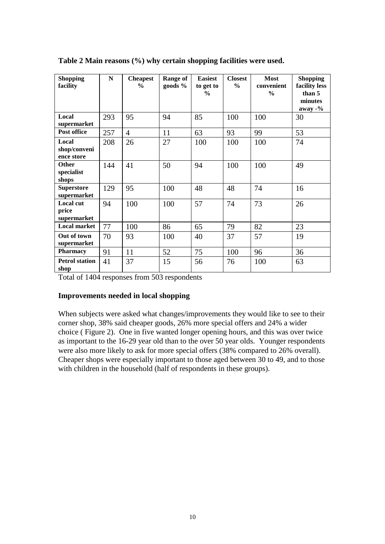| <b>Shopping</b><br>facility         | N   | <b>Cheapest</b><br>$\frac{0}{0}$ | Range of<br>goods % | <b>Easiest</b><br>to get to<br>$\frac{6}{9}$ | <b>Closest</b><br>$\frac{6}{9}$ | <b>Most</b><br>convenient<br>$\frac{0}{0}$ | <b>Shopping</b><br>facility less<br>than 5<br>minutes<br>$\frac{\text{away}}{\text{0}}$ |
|-------------------------------------|-----|----------------------------------|---------------------|----------------------------------------------|---------------------------------|--------------------------------------------|-----------------------------------------------------------------------------------------|
| Local<br>supermarket                | 293 | 95                               | 94                  | 85                                           | 100                             | 100                                        | 30                                                                                      |
| Post office                         | 257 | $\overline{4}$                   | 11                  | 63                                           | 93                              | 99                                         | 53                                                                                      |
| Local<br>shop/conveni<br>ence store | 208 | 26                               | 27                  | 100                                          | 100                             | 100                                        | 74                                                                                      |
| <b>Other</b><br>specialist<br>shops | 144 | 41                               | 50                  | 94                                           | 100                             | 100                                        | 49                                                                                      |
| <b>Superstore</b><br>supermarket    | 129 | 95                               | 100                 | 48                                           | 48                              | 74                                         | 16                                                                                      |
| Local cut<br>price<br>supermarket   | 94  | 100                              | 100                 | 57                                           | 74                              | 73                                         | 26                                                                                      |
| <b>Local market</b>                 | 77  | 100                              | 86                  | 65                                           | 79                              | 82                                         | 23                                                                                      |
| Out of town<br>supermarket          | 70  | 93                               | 100                 | 40                                           | 37                              | 57                                         | 19                                                                                      |
| <b>Pharmacy</b>                     | 91  | 11                               | 52                  | 75                                           | 100                             | 96                                         | 36                                                                                      |
| <b>Petrol station</b><br>shop       | 41  | 37                               | 15                  | 56                                           | 76                              | 100                                        | 63                                                                                      |

#### **Table 2 Main reasons (%) why certain shopping facilities were used.**

Total of 1404 responses from 503 respondents

#### **Improvements needed in local shopping**

When subjects were asked what changes/improvements they would like to see to their corner shop, 38% said cheaper goods, 26% more special offers and 24% a wider choice ( Figure 2). One in five wanted longer opening hours, and this was over twice as important to the 16-29 year old than to the over 50 year olds. Younger respondents were also more likely to ask for more special offers (38% compared to 26% overall). Cheaper shops were especially important to those aged between 30 to 49, and to those with children in the household (half of respondents in these groups).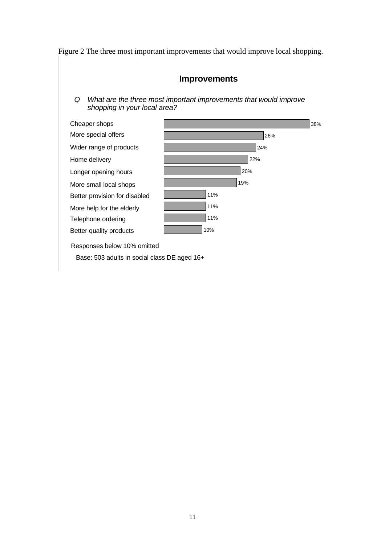Figure 2 The three most important improvements that would improve local shopping.

### **Improvements**

Q What are the three most important improvements that would improve shopping in your local area?



Base: 503 adults in social class DE aged 16+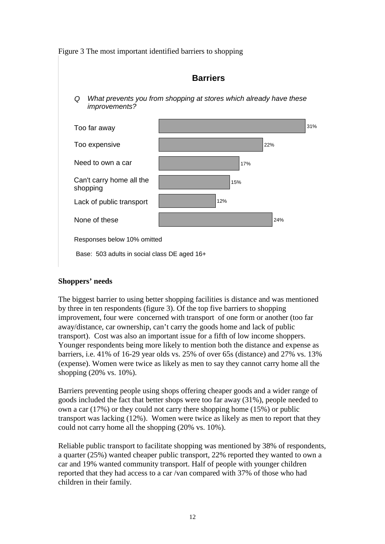Figure 3 The most important identified barriers to shopping

### **Barriers**

Q What prevents you from shopping at stores which already have these improvements?



Base: 503 adults in social class DE aged 16+

#### **Shoppers' needs**

The biggest barrier to using better shopping facilities is distance and was mentioned by three in ten respondents (figure 3). Of the top five barriers to shopping improvement, four were concerned with transport of one form or another (too far away/distance, car ownership, can't carry the goods home and lack of public transport). Cost was also an important issue for a fifth of low income shoppers. Younger respondents being more likely to mention both the distance and expense as barriers, i.e. 41% of 16-29 year olds vs. 25% of over 65s (distance) and 27% vs. 13% (expense). Women were twice as likely as men to say they cannot carry home all the shopping (20% vs. 10%).

Barriers preventing people using shops offering cheaper goods and a wider range of goods included the fact that better shops were too far away (31%), people needed to own a car (17%) or they could not carry there shopping home (15%) or public transport was lacking (12%). Women were twice as likely as men to report that they could not carry home all the shopping (20% vs. 10%).

Reliable public transport to facilitate shopping was mentioned by 38% of respondents, a quarter (25%) wanted cheaper public transport, 22% reported they wanted to own a car and 19% wanted community transport. Half of people with younger children reported that they had access to a car /van compared with 37% of those who had children in their family.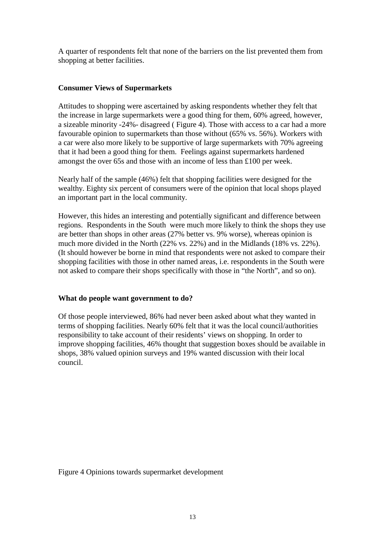A quarter of respondents felt that none of the barriers on the list prevented them from shopping at better facilities.

#### **Consumer Views of Supermarkets**

Attitudes to shopping were ascertained by asking respondents whether they felt that the increase in large supermarkets were a good thing for them, 60% agreed, however, a sizeable minority -24%- disagreed ( Figure 4). Those with access to a car had a more favourable opinion to supermarkets than those without (65% vs. 56%). Workers with a car were also more likely to be supportive of large supermarkets with 70% agreeing that it had been a good thing for them. Feelings against supermarkets hardened amongst the over 65s and those with an income of less than £100 per week.

Nearly half of the sample (46%) felt that shopping facilities were designed for the wealthy. Eighty six percent of consumers were of the opinion that local shops played an important part in the local community.

However, this hides an interesting and potentially significant and difference between regions. Respondents in the South were much more likely to think the shops they use are better than shops in other areas (27% better vs. 9% worse), whereas opinion is much more divided in the North (22% vs. 22%) and in the Midlands (18% vs. 22%). (It should however be borne in mind that respondents were not asked to compare their shopping facilities with those in other named areas, i.e. respondents in the South were not asked to compare their shops specifically with those in "the North", and so on).

#### **What do people want government to do?**

Of those people interviewed, 86% had never been asked about what they wanted in terms of shopping facilities. Nearly 60% felt that it was the local council/authorities responsibility to take account of their residents' views on shopping. In order to improve shopping facilities, 46% thought that suggestion boxes should be available in shops, 38% valued opinion surveys and 19% wanted discussion with their local council.

Figure 4 Opinions towards supermarket development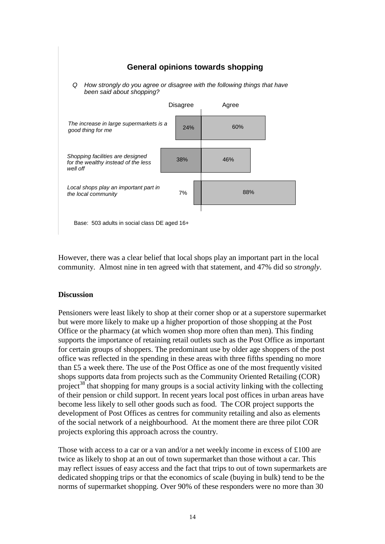#### **General opinions towards shopping**

Q How strongly do you agree or disagree with the following things that have been said about shopping?



Base: 503 adults in social class DE aged 16+

However, there was a clear belief that local shops play an important part in the local community. Almost nine in ten agreed with that statement, and 47% did so *strongly*.

#### **Discussion**

Pensioners were least likely to shop at their corner shop or at a superstore supermarket but were more likely to make up a higher proportion of those shopping at the Post Office or the pharmacy (at which women shop more often than men). This finding supports the importance of retaining retail outlets such as the Post Office as important for certain groups of shoppers. The predominant use by older age shoppers of the post office was reflected in the spending in these areas with three fifths spending no more than £5 a week there. The use of the Post Office as one of the most frequently visited shops supports data from projects such as the Community Oriented Retailing (COR) project<sup>38</sup> that shopping for many groups is a social activity linking with the collecting of their pension or child support. In recent years local post offices in urban areas have become less likely to sell other goods such as food. The COR project supports the development of Post Offices as centres for community retailing and also as elements of the social network of a neighbourhood. At the moment there are three pilot COR projects exploring this approach across the country.

Those with access to a car or a van and/or a net weekly income in excess of £100 are twice as likely to shop at an out of town supermarket than those without a car. This may reflect issues of easy access and the fact that trips to out of town supermarkets are dedicated shopping trips or that the economics of scale (buying in bulk) tend to be the norms of supermarket shopping. Over 90% of these responders were no more than 30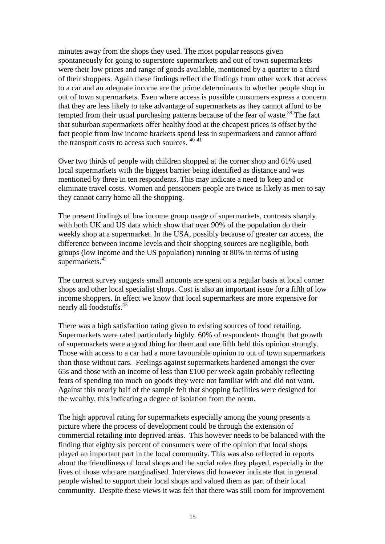minutes away from the shops they used. The most popular reasons given spontaneously for going to superstore supermarkets and out of town supermarkets were their low prices and range of goods available, mentioned by a quarter to a third of their shoppers. Again these findings reflect the findings from other work that access to a car and an adequate income are the prime determinants to whether people shop in out of town supermarkets. Even where access is possible consumers express a concern that they are less likely to take advantage of supermarkets as they cannot afford to be tempted from their usual purchasing patterns because of the fear of waste.<sup>39</sup> The fact that suburban supermarkets offer healthy food at the cheapest prices is offset by the fact people from low income brackets spend less in supermarkets and cannot afford the transport costs to access such sources.  $40\,41$ 

Over two thirds of people with children shopped at the corner shop and 61% used local supermarkets with the biggest barrier being identified as distance and was mentioned by three in ten respondents. This may indicate a need to keep and or eliminate travel costs. Women and pensioners people are twice as likely as men to say they cannot carry home all the shopping.

The present findings of low income group usage of supermarkets, contrasts sharply with both UK and US data which show that over 90% of the population do their weekly shop at a supermarket. In the USA, possibly because of greater car access, the difference between income levels and their shopping sources are negligible, both groups (low income and the US population) running at 80% in terms of using supermarkets.<sup>42</sup>

The current survey suggests small amounts are spent on a regular basis at local corner shops and other local specialist shops. Cost is also an important issue for a fifth of low income shoppers. In effect we know that local supermarkets are more expensive for nearly all foodstuffs.<sup>43</sup>

There was a high satisfaction rating given to existing sources of food retailing. Supermarkets were rated particularly highly. 60% of respondents thought that growth of supermarkets were a good thing for them and one fifth held this opinion strongly. Those with access to a car had a more favourable opinion to out of town supermarkets than those without cars. Feelings against supermarkets hardened amongst the over 65s and those with an income of less than £100 per week again probably reflecting fears of spending too much on goods they were not familiar with and did not want. Against this nearly half of the sample felt that shopping facilities were designed for the wealthy, this indicating a degree of isolation from the norm.

The high approval rating for supermarkets especially among the young presents a picture where the process of development could be through the extension of commercial retailing into deprived areas. This however needs to be balanced with the finding that eighty six percent of consumers were of the opinion that local shops played an important part in the local community. This was also reflected in reports about the friendliness of local shops and the social roles they played, especially in the lives of those who are marginalised. Interviews did however indicate that in general people wished to support their local shops and valued them as part of their local community. Despite these views it was felt that there was still room for improvement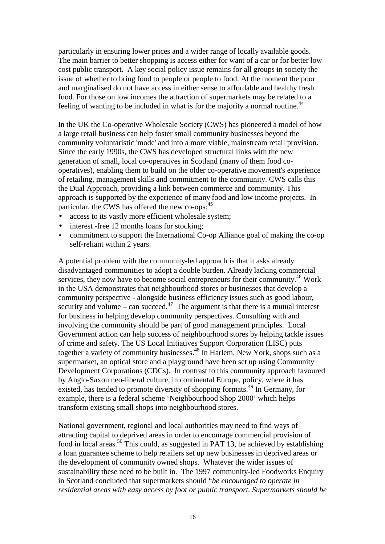particularly in ensuring lower prices and a wider range of locally available goods. The main barrier to better shopping is access either for want of a car or for better low cost public transport. A key social policy issue remains for all groups in society the issue of whether to bring food to people or people to food. At the moment the poor and marginalised do not have access in either sense to affordable and healthy fresh food. For those on low incomes the attraction of supermarkets may be related to a feeling of wanting to be included in what is for the majority a normal routine.<sup>44</sup>

In the UK the Co-operative Wholesale Society (CWS) has pioneered a model of how a large retail business can help foster small community businesses beyond the community voluntaristic 'mode' and into a more viable, mainstream retail provision. Since the early 1990s, the CWS has developed structural links with the new generation of small, local co-operatives in Scotland (many of them food cooperatives), enabling them to build on the older co-operative movement's experience of retailing, management skills and commitment to the community. CWS calls this the Dual Approach, providing a link between commerce and community. This approach is supported by the experience of many food and low income projects. In particular, the CWS has offered the new co-ops:<sup>45</sup>

- access to its vastly more efficient wholesale system;
- interest -free 12 months loans for stocking;
- commitment to support the International Co-op Alliance goal of making the co-op self-reliant within 2 years.

A potential problem with the community-led approach is that it asks already disadvantaged communities to adopt a double burden. Already lacking commercial services, they now have to become social entrepreneurs for their community.<sup>46</sup> Work in the USA demonstrates that neighbourhood stores or businesses that develop a community perspective - alongside business efficiency issues such as good labour, security and volume – can succeed.<sup>47</sup> The argument is that there is a mutual interest for business in helping develop community perspectives. Consulting with and involving the community should be part of good management principles. Local Government action can help success of neighbourhood stores by helping tackle issues of crime and safety. The US Local Initiatives Support Corporation (LISC) puts together a variety of community businesses.<sup>48</sup> In Harlem, New York, shops such as a supermarket, an optical store and a playground have been set up using Community Development Corporations (CDCs). In contrast to this community approach favoured by Anglo-Saxon neo-liberal culture, in continental Europe, policy, where it has existed, has tended to promote diversity of shopping formats.<sup>49</sup> In Germany, for example, there is a federal scheme 'Neighbourhood Shop 2000' which helps transform existing small shops into neighbourhood stores.

National government, regional and local authorities may need to find ways of attracting capital to deprived areas in order to encourage commercial provision of food in local areas.<sup>50</sup> This could, as suggested in PAT 13, be achieved by establishing a loan guarantee scheme to help retailers set up new businesses in deprived areas or the development of community owned shops. Whatever the wider issues of sustainability these need to be built in. The 1997 community-led Foodworks Enquiry in Scotland concluded that supermarkets should "*be encouraged to operate in residential areas with easy access by foot or public transport. Supermarkets should be*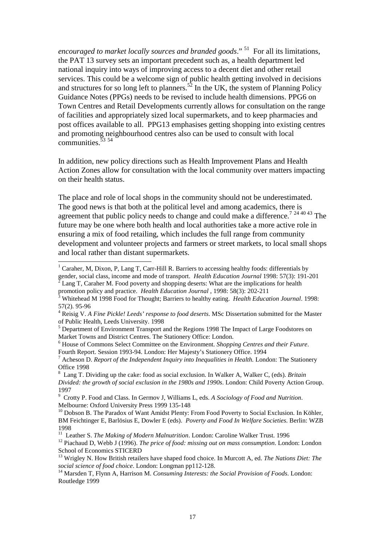*encouraged to market locally sources and branded goods.*"<sup>51</sup> For all its limitations, the PAT 13 survey sets an important precedent such as, a health department led national inquiry into ways of improving access to a decent diet and other retail services. This could be a welcome sign of public health getting involved in decisions and structures for so long left to planners.<sup>52</sup> In the UK, the system of Planning Policy Guidance Notes (PPGs) needs to be revised to include health dimensions. PPG6 on Town Centres and Retail Developments currently allows for consultation on the range of facilities and appropriately sized local supermarkets, and to keep pharmacies and post offices available to all. PPG13 emphasises getting shopping into existing centres and promoting neighbourhood centres also can be used to consult with local communities. $53\,54$ 

In addition, new policy directions such as Health Improvement Plans and Health Action Zones allow for consultation with the local community over matters impacting on their health status.

The place and role of local shops in the community should not be underestimated. The good news is that both at the political level and among academics, there is agreement that public policy needs to change and could make a difference.<sup>7</sup>  $^{24\,40\,43}$  The future may be one where both health and local authorities take a more active role in ensuring a mix of food retailing, which includes the full range from community development and volunteer projects and farmers or street markets, to local small shops and local rather than distant supermarkets.

 $\overline{a}$ 

<sup>1</sup> Caraher, M, Dixon, P, Lang T, Carr-Hill R. Barriers to accessing healthy foods: differentials by gender, social class, income and mode of transport. *Health Education Journal* 1998: 57(3): 191-201

 $\bar{2}$  Lang T, Caraher M. Food poverty and shopping deserts: What are the implications for health promotion policy and practice. *Health Education Journal* , 1998: 58(3): 202-211

<sup>3</sup> Whitehead M 1998 Food for Thought; Barriers to healthy eating. *Health Education Journal*. 1998: 57(2). 95-96

<sup>4</sup> Reisig V. *A Fine Pickle! Leeds' response to food deserts*. MSc Dissertation submitted for the Master of Public Health, Leeds University. 1998

<sup>&</sup>lt;sup>5</sup> Department of Environment Transport and the Regions 1998 The Impact of Large Foodstores on Market Towns and District Centres. The Stationery Office: London.

<sup>6</sup> House of Commons Select Committee on the Environment. *Shopping Centres and their Future*. Fourth Report. Session 1993-94. London: Her Majesty's Stationery Office. 1994

<sup>7</sup> Acheson D. *Report of the Independent Inquiry into Inequalities in Health.* London: The Stationery Office 1998

<sup>8</sup> Lang T. Dividing up the cake: food as social exclusion. In Walker A, Walker C, (eds). *Britain Divided: the growth of social exclusion in the 1980s and 1990s*. London: Child Poverty Action Group. 1997

<sup>9</sup> Crotty P. Food and Class. In Germov J, Williams L, eds. *A Sociology of Food and Nutrition*. Melbourne: Oxford University Press 1999 135-148

<sup>&</sup>lt;sup>10</sup> Dobson B. The Paradox of Want Amidst Plenty: From Food Poverty to Social Exclusion. In Köhler, BM Feichtinger E, Barlösius E, Dowler E (eds). *Poverty and Food In Welfare Societies*. Berlin: WZB 1998

<sup>&</sup>lt;sup>11</sup> Leather S. *The Making of Modern Malnutrition*. London: Caroline Walker Trust. 1996

<sup>&</sup>lt;sup>12</sup> Piachaud D, Webb J (1996). *The price of food: missing out on mass consumption*. London: London School of Economics STICERD

<sup>13</sup> Wrigley N. How British retailers have shaped food choice. In Murcott A, ed. *The Nations Diet: The social science of food choice*. London: Longman pp112-128.

<sup>14</sup> Marsden T, Flynn A, Harrison M. *Consuming Interests: the Social Provision of Foods*. London: Routledge 1999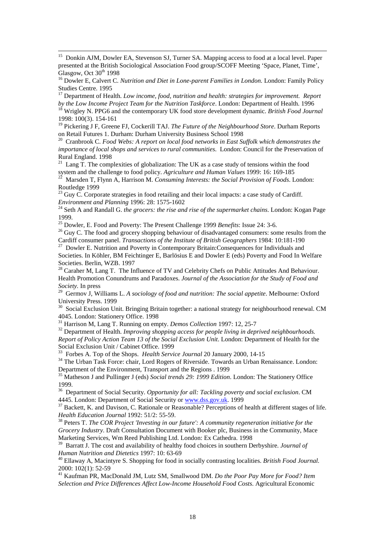<sup>15</sup> Donkin AJM, Dowler EA, Stevenson SJ, Turner SA. Mapping access to food at a local level. Paper presented at the British Sociological Association Food group/SCOFF Meeting 'Space, Planet, Time', Glasgow, Oct  $30<sup>th</sup>$  1998

 $\overline{a}$ 

<sup>16</sup> Dowler E, Calvert C. *Nutrition and Diet in Lone-parent Families in London.* London: Family Policy Studies Centre. 1995

<sup>17</sup> Department of Health. *Low income, food, nutrition and health: strategies for improvement. Report by the Low Income Project Team for the Nutrition Taskforce*. London: Department of Health. 1996

<sup>18</sup> Wrigley N. PPG6 and the contemporary UK food store development dynamic. *British Food Journal* 1998: 100(3). 154-161

<sup>19</sup> Pickering J F, Greene FJ, Cockerill TAJ. *The Future of the Neighbourhood Store*. Durham Reports on Retail Futures 1. Durham: Durham University Business School 1998

<sup>20</sup> Cranbrook C. *Food Webs: A report on local food networks in East Suffolk which demonstrates the importance of local shops and services to rural communities*. London: Council for the Preservation of Rural England. 1998

<sup>21</sup> Lang T. The complexities of globalization: The UK as a case study of tensions within the food system and the challenge to food policy. *Agriculture and Human Values* 1999: 16: 169-185<sup>22</sup> Moredan T. Fl. 160 + 1 W.

<sup>22</sup> Marsden T, Flynn A, Harrison M. *Consuming Interests: the Social Provision of Foods*. London: Routledge 1999

 $^{23}$  Guy C. Corporate strategies in food retailing and their local impacts: a case study of Cardiff. *Environment and Planning* 1996: 28: 1575-1602

<sup>24</sup> Seth A and Randall G. *the grocers: the rise and rise of the supermarket chains*. London: Kogan Page 1999.

<sup>25</sup> Dowler, E. Food and Poverty: The Present Challenge 1999 *Benefits*: Issue 24: 3-6.

<sup>26</sup> Guy C. The food and grocery shopping behaviour of disadvantaged consumers: some results from the Cardiff consumer panel. *Transactions of the Institute of British Geographers* 1984: 10:181-190

<sup>27</sup> Dowler E. Nutrition and Poverty in Contemporary Britain:Consequences for Individuals and Societies. In Köhler, BM Feichtinger E, Barlösius E and Dowler E (eds) Poverty and Food In Welfare Societies. Berlin, WZB. 1997

 $^{28}$  Caraher M, Lang T. The Influence of TV and Celebrity Chefs on Public Attitudes And Behaviour. Health Promotion Conundrums and Paradoxes. *Journal of the Association for the Study of Food and Society.* In press

<sup>29</sup> Germov J, Williams L. *A sociology of food and nutrition: The social appetite*. Melbourne: Oxford University Press. 1999

<sup>30</sup> Social Exclusion Unit. Bringing Britain together: a national strategy for neighbourhood renewal. CM 4045. London: Stationery Office. 1998

<sup>31</sup> Harrison M, Lang T. Running on empty. *Demos Collection* 1997: 12, 25-7

<sup>32</sup> Department of Health. *Improving shopping access for people living in deprived neighbourhoods. Report of Policy Action Team 13 of the Social Exclusion Unit*. London: Department of Health for the Social Exclusion Unit / Cabinet Office. 1999

<sup>33</sup> Forbes A. Top of the Shops. *Health Service Journal* 20 January 2000, 14-15

<sup>34</sup> The Urban Task Force: chair, Lord Rogers of Riverside. Towards an Urban Renaissance. London: Department of the Environment, Transport and the Regions . 1999

<sup>35</sup> Matheson J and Pullinger J (eds) *Social trends 29: 1999 Edition*. London: The Stationery Office 1999.

<sup>36</sup> Department of Social Security. *Opportunity for all: Tackling poverty and social exclusion*. CM 4445. London: Department of Social Security or www.dss.gov.uk. 1999

<sup>37</sup> Backett, K. and Davison, C. Rationale or Reasonable? Perceptions of health at different stages of life. *Health Education Journal* 1992: 51/2: 55-59.

<sup>38</sup> Peters T. *The COR Project 'Investing in our future': A community regeneration initiative for the Grocery Industry*. Draft Consultation Document with Booker plc, Business in the Community, Mace Marketing Services, Wm Reed Publishing Ltd. London: Ex Cathedra. 1998

<sup>39</sup> Barratt J. The cost and availability of healthy food choices in southern Derbyshire. *Journal of Human Nutrition and Dietetics* 1997: 10: 63-69

<sup>40</sup> Ellaway A, Macintyre S. Shopping for food in socially contrasting localities. *British Food Journal.*  2000: 102(1): 52-59

<sup>41</sup> Kaufman PR, MacDonald JM, Lutz SM, Smallwood DM. *Do the Poor Pay More for Food? Item Selection and Price Differences Affect Low-Income Household Food Costs*. Agricultural Economic